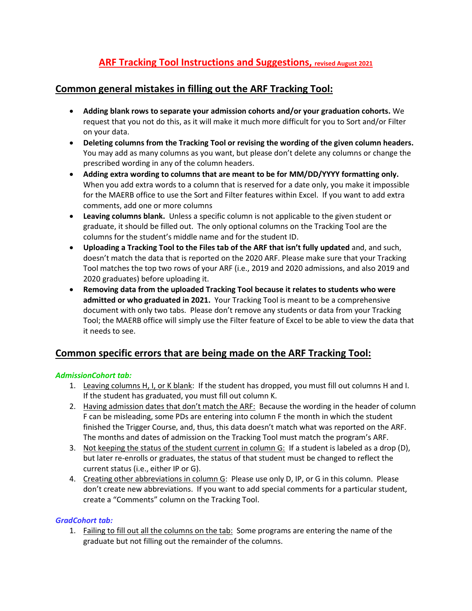# **ARF Tracking Tool Instructions and Suggestions, revised August 2021**

## **Common general mistakes in filling out the ARF Tracking Tool:**

- **Adding blank rows to separate your admission cohorts and/or your graduation cohorts.** We request that you not do this, as it will make it much more difficult for you to Sort and/or Filter on your data.
- **Deleting columns from the Tracking Tool or revising the wording of the given column headers.**  You may add as many columns as you want, but please don't delete any columns or change the prescribed wording in any of the column headers.
- **Adding extra wording to columns that are meant to be for MM/DD/YYYY formatting only.** When you add extra words to a column that is reserved for a date only, you make it impossible for the MAERB office to use the Sort and Filter features within Excel. If you want to add extra comments, add one or more columns
- **Leaving columns blank.** Unless a specific column is not applicable to the given student or graduate, it should be filled out. The only optional columns on the Tracking Tool are the columns for the student's middle name and for the student ID.
- **Uploading a Tracking Tool to the Files tab of the ARF that isn't fully updated** and, and such, doesn't match the data that is reported on the 2020 ARF. Please make sure that your Tracking Tool matches the top two rows of your ARF (i.e., 2019 and 2020 admissions, and also 2019 and 2020 graduates) before uploading it.
- **Removing data from the uploaded Tracking Tool because it relates to students who were admitted or who graduated in 2021.** Your Tracking Tool is meant to be a comprehensive document with only two tabs. Please don't remove any students or data from your Tracking Tool; the MAERB office will simply use the Filter feature of Excel to be able to view the data that it needs to see.

## **Common specific errors that are being made on the ARF Tracking Tool:**

### *AdmissionCohort tab:*

- 1. Leaving columns H, I, or K blank: If the student has dropped, you must fill out columns H and I. If the student has graduated, you must fill out column K.
- 2. Having admission dates that don't match the ARF: Because the wording in the header of column F can be misleading, some PDs are entering into column F the month in which the student finished the Trigger Course, and, thus, this data doesn't match what was reported on the ARF. The months and dates of admission on the Tracking Tool must match the program's ARF.
- 3. Not keeping the status of the student current in column G: If a student is labeled as a drop (D), but later re-enrolls or graduates, the status of that student must be changed to reflect the current status (i.e., either IP or G).
- 4. Creating other abbreviations in column G: Please use only D, IP, or G in this column. Please don't create new abbreviations. If you want to add special comments for a particular student, create a "Comments" column on the Tracking Tool.

### *GradCohort tab:*

1. Failing to fill out all the columns on the tab: Some programs are entering the name of the graduate but not filling out the remainder of the columns.